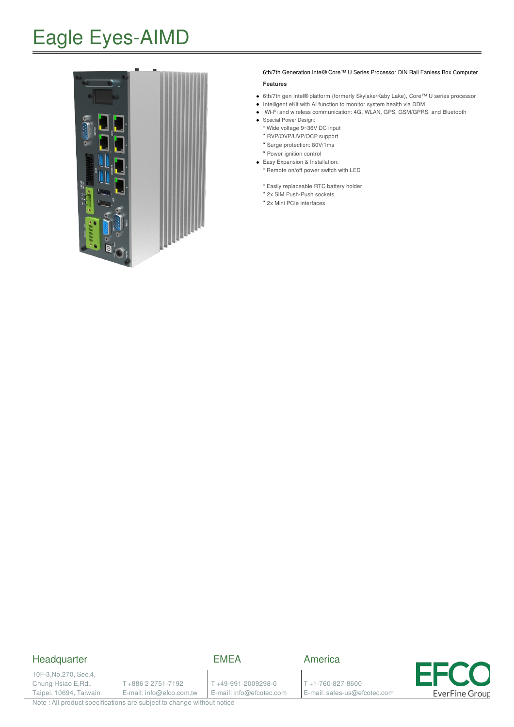# Eagle Eyes-AIMD



#### 6th/7th Generation Intel® Core™ U Series Processor DIN Rail Fanless Box Computer

#### **Features**

- 6th/7th gen Intel® platform (formerly Skylake/Kaby Lake), Core™ U series processor
- Intelligent eKit with AI function to monitor system health via DDM
- Wi-Fi and wireless communication: 4G, WLAN, GPS, GSM/GPRS, and Bluetooth
- Special Power Design:
	- \* Wide voltage 9~36V DC input
	- \* RVP/OVP/UVP/OCP support
	- \* Surge protection: 80V/1ms
- \* Power ignition control Easy Expansion & Installation:
	- \* Remote on/off power switch with LED
	- \* Easily replaceable RTC battery holder
	- \* 2x SIM Push-Push sockets
	- \* 2x Mini PCIe interfaces

### **Headquarter**

### EMEA

10F-3,No.270, Sec.4, Chung Hsiao E,Rd., Taipei, 10694, Taiwain

T +886 2 2751-7192 E-mail: info@efco.com.tw

T +49-991-2009298-0 E-mail: info@efcotec.com

T +1-760-827-8600 E-mail: sales-us@efcotec.com

America

**EverFine Group** 

Note : All product specifications are subject to change without notice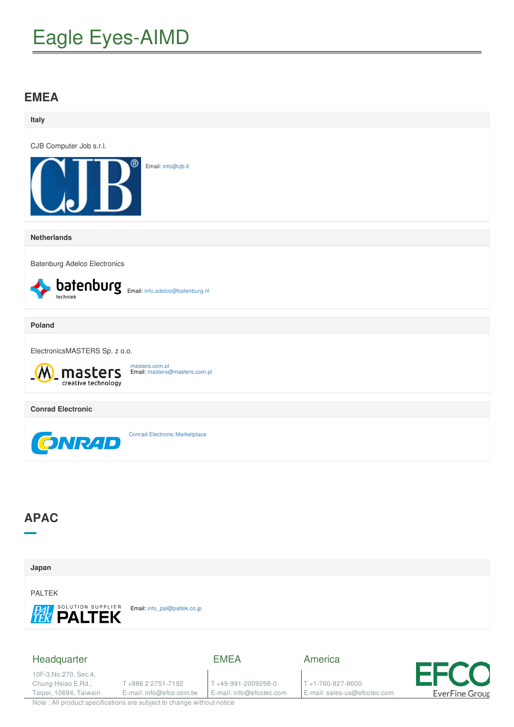# Eagle Eyes-AIMD

### **EMEA**

| Italy                                                                    |                                                 |                                                |                                                            |                               |
|--------------------------------------------------------------------------|-------------------------------------------------|------------------------------------------------|------------------------------------------------------------|-------------------------------|
| CJB Computer Job s.r.l.                                                  |                                                 |                                                |                                                            |                               |
|                                                                          | Email: info@cjb.it                              |                                                |                                                            |                               |
| <b>Netherlands</b>                                                       |                                                 |                                                |                                                            |                               |
| <b>Batenburg Adelco Electronics</b>                                      |                                                 |                                                |                                                            |                               |
| techniek                                                                 | batenburg Email: info.adelco@batenburg.nl       |                                                |                                                            |                               |
| <b>Poland</b>                                                            |                                                 |                                                |                                                            |                               |
| ElectronicsMASTERS Sp. z o.o.                                            |                                                 |                                                |                                                            |                               |
| masters<br>creative technology                                           | masters.com.pl<br>Email: masters@masters.com.pl |                                                |                                                            |                               |
| <b>Conrad Electronic</b>                                                 |                                                 |                                                |                                                            |                               |
| <b>GNRAD</b>                                                             | <b>Conrad Electronic Marketplace</b>            |                                                |                                                            |                               |
| <b>APAC</b>                                                              |                                                 |                                                |                                                            |                               |
| Japan                                                                    |                                                 |                                                |                                                            |                               |
| <b>PALTEK</b><br><b>PAL SOLUTION SUPPLIER</b>                            | Email: info_pal@paltek.co.jp                    |                                                |                                                            |                               |
| Headquarter                                                              |                                                 | <b>EMEA</b>                                    | America                                                    |                               |
| 10F-3, No. 270, Sec. 4,<br>Chung Hsiao E, Rd.,<br>Taipei, 10694, Taiwain | T+886 2 2751-7192<br>E-mail: info@efco.com.tw   | T+49-991-2009298-0<br>E-mail: info@efcotec.com | $T + 1 - 760 - 827 - 8600$<br>E-mail: sales-us@efcotec.com | <b>EFCO</b><br>EverFine Group |
| Note : All product specifications are subject to change without notice   |                                                 |                                                |                                                            |                               |